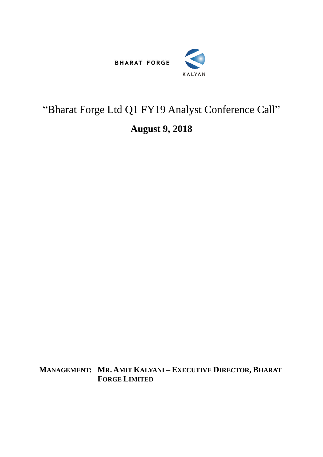



## "Bharat Forge Ltd Q1 FY19 Analyst Conference Call"

## **August 9, 2018**

**MANAGEMENT: MR. AMIT KALYANI – EXECUTIVE DIRECTOR, BHARAT FORGE LIMITED**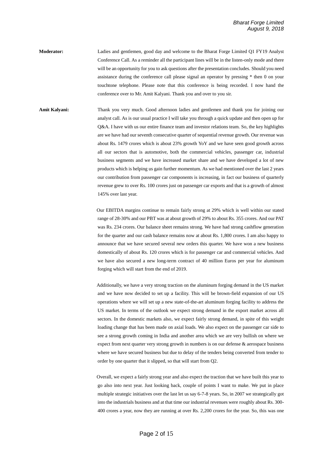**Moderator:** Ladies and gentlemen, good day and welcome to the Bharat Forge Limited Q1 FY19 Analyst Conference Call. As a reminder all the participant lines will be in the listen-only mode and there will be an opportunity for you to ask questions after the presentation concludes. Should you need assistance during the conference call please signal an operator by pressing \* then 0 on your touchtone telephone. Please note that this conference is being recorded. I now hand the conference over to Mr. Amit Kalyani. Thank you and over to you sir.

**Amit Kalyani:** Thank you very much. Good afternoon ladies and gentlemen and thank you for joining our analyst call. As is our usual practice I will take you through a quick update and then open up for Q&A. I have with us our entire finance team and investor relations team. So, the key highlights are we have had our seventh consecutive quarter of sequential revenue growth. Our revenue was about Rs. 1479 crores which is about 23% growth YoY and we have seen good growth across all our sectors that is automotive, both the commercial vehicles, passenger car, industrial business segments and we have increased market share and we have developed a lot of new products which is helping us gain further momentum. As we had mentioned over the last 2 years our contribution from passenger car components is increasing, in fact our business of quarterly revenue grew to over Rs. 100 crores just on passenger car exports and that is a growth of almost 145% over last year.

> Our EBITDA margins continue to remain fairly strong at 29% which is well within our stated range of 28-30% and our PBT was at about growth of 29% to about Rs. 355 crores. And our PAT was Rs. 234 crores. Our balance sheet remains strong. We have had strong cashflow generation for the quarter and our cash balance remains now at about Rs. 1,800 crores. I am also happy to announce that we have secured several new orders this quarter. We have won a new business domestically of about Rs. 120 crores which is for passenger car and commercial vehicles. And we have also secured a new long-term contract of 40 million Euros per year for aluminum forging which will start from the end of 2019.

> Additionally, we have a very strong traction on the aluminum forging demand in the US market and we have now decided to set up a facility. This will be brown-field expansion of our US operations where we will set up a new state-of-the-art aluminum forging facility to address the US market. In terms of the outlook we expect strong demand in the export market across all sectors. In the domestic markets also, we expect fairly strong demand, in spite of this weight loading change that has been made on axial loads. We also expect on the passenger car side to see a strong growth coming in India and another area which we are very bullish on where we expect from next quarter very strong growth in numbers is on our defense & aerospace business where we have secured business but due to delay of the tenders being converted from tender to order by one quarter that it slipped, so that will start from Q2.

> Overall, we expect a fairly strong year and also expect the traction that we have built this year to go also into next year. Just looking back, couple of points I want to make. We put in place multiple strategic initiatives over the last let us say 6-7-8 years. So, in 2007 we strategically got into the industrials business and at that time our industrial revenues were roughly about Rs. 300- 400 crores a year, now they are running at over Rs. 2,200 crores for the year. So, this was one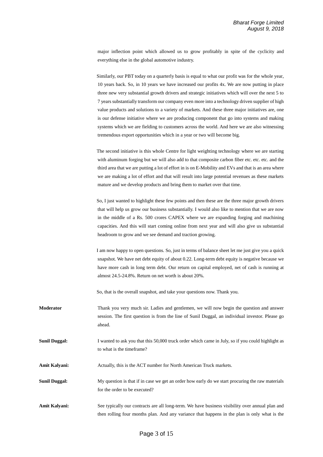major inflection point which allowed us to grow profitably in spite of the cyclicity and everything else in the global automotive industry.

Similarly, our PBT today on a quarterly basis is equal to what our profit was for the whole year, 10 years back. So, in 10 years we have increased our profits 4x. We are now putting in place three new very substantial growth drivers and strategic initiatives which will over the next 5 to 7 years substantially transform our company even more into a technology driven supplier of high value products and solutions to a variety of markets. And these three major initiatives are, one is our defense initiative where we are producing component that go into systems and making systems which we are fielding to customers across the world. And here we are also witnessing tremendous export opportunities which in a year or two will become big.

The second initiative is this whole Centre for light weighting technology where we are starting with aluminum forging but we will also add to that composite carbon fiber etc. etc. etc. and the third area that we are putting a lot of effort in is on E-Mobility and EVs and that is an area where we are making a lot of effort and that will result into large potential revenues as these markets mature and we develop products and bring them to market over that time.

So, I just wanted to highlight these few points and then these are the three major growth drivers that will help us grow our business substantially. I would also like to mention that we are now in the middle of a Rs. 500 crores CAPEX where we are expanding forging and machining capacities. And this will start coming online from next year and will also give us substantial headroom to grow and we see demand and traction growing.

I am now happy to open questions. So, just in terms of balance sheet let me just give you a quick snapshot. We have net debt equity of about 0.22. Long-term debt equity is negative because we have more cash in long term debt. Our return on capital employed, net of cash is running at almost 24.5-24.8%. Return on net worth is about 20%.

So, that is the overall snapshot, and take your questions now. Thank you.

- **Moderator** Thank you very much sir. Ladies and gentlemen, we will now begin the question and answer session. The first question is from the line of Sunil Duggal, an individual investor. Please go ahead.
- **Sunil Duggal:** I wanted to ask you that this 50,000 truck order which came in July, so if you could highlight as to what is the timeframe?

**Amit Kalyani:** Actually, this is the ACT number for North American Truck markets.

**Sunil Duggal:** My question is that if in case we get an order how early do we start procuring the raw materials for the order to be executed?

**Amit Kalyani:** See typically our contracts are all long-term. We have business visibility over annual plan and then rolling four months plan. And any variance that happens in the plan is only what is the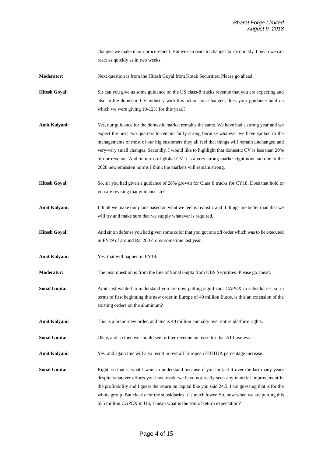changes we make in our procurement. But we can react to changes fairly quickly. I mean we can react as quickly as in two weeks.

**Moderator:** Next question is from the Hitesh Goyal from Kotak Securities. Please go ahead.

**Hitesh Goyal:** Sir can you give us some guidance on the US class-8 trucks revenue that you are expecting and also in the domestic CV industry with this action non-changed, does your guidance hold on which we were giving 10-12% for this year.?

- **Amit Kalyani:** Yes, our guidance for the domestic market remains the same. We have had a strong year and we expect the next two quarters to remain fairly strong because whatever we have spoken to the managements of most of our big customers they all feel that things will remain unchanged and very-very small changes. Secondly, I would like to highlight that domestic CV is less than 20% of our revenue. And on terms of global CV it is a very strong market right now and due to the 2020 new emission norms I think the markets will remain strong.
- **Hitesh Goyal:** So, sir you had given a guidance of 28% growth for Class 8 trucks for CY18. Does that hold or you are revising that guidance sir?
- **Amit Kalyani:** I think we make our plans based on what we feel is realistic and if things are better than that we will try and make sure that we supply whatever is required.
- **Hitesh Goyal:** And sir on defense you had given some color that you got one off order which was to be executed in FY19 of around Rs. 200 crores sometime last year.
- **Amit Kalyani:** Yes, that will happen in FY19.
- **Moderator:** The next question is from the line of Sonal Gupta from UBS Securities. Please go ahead.
- **Sonal Gupta:** Amit just wanted to understand you are now putting significant CAPEX in subsidiaries, so in terms of first beginning this new order in Europe of 40 million Euros, is this an extension of the existing orders on the aluminum?

**Amit Kalyani:** This is a brand-new order, and this is 40 million annually over entire platform rights.

**Sonal Gupta:** Okay, and so then we should see further revenue increase for that AT business.

**Amit Kalyani:** Yes, and again this will also result in overall European EBITDA percentage increase.

**Sonal Gupta:** Right, so that is what I want to understand because if you look at it over the last many years despite whatever efforts you have made we have not really seen any material improvement in the profitability and I guess the return on capital like you said 24.5, I am guessing that is for the whole group. But clearly for the subsidiaries it is much lower. So, now when we are putting this \$55 million CAPEX in US, I mean what is the sort of return expectation?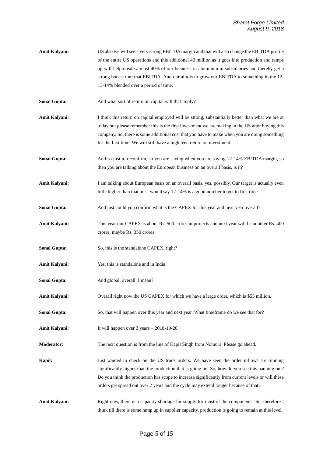**Amit Kalyani:** US also we will see a very strong EBITDA margin and that will also change the EBITDA profile of the entire US operations and this additional 40 million as it goes into production and ramps up will help create almost 40% of our business in aluminum in subsidiaries and thereby get a strong boost from that EBITDA. And our aim is to grow our EBITDA to something in the 12- 13-14% blended over a period of time.

**Sonal Gupta:** And what sort of return on capital will that imply?

Amit Kalyani: I think this return on capital employed will be strong, substantially better than what we are at today but please remember this is the first investment we are making in the US after buying this company. So, there is some additional cost that you have to make when you are doing something for the first time. We will still have a high teen return on investment.

**Sonal Gupta:** And so just to reconfirm, so you are saying when you are saying 12-14% EBITDA margin, so then you are talking about the European business on an overall basis, is it?

Amit Kalyani: I am talking about European basis on an overall basis, yes, possibly. Our target is actually even little higher than that but I would say 12-14% is a good number to get to first time.

**Sonal Gupta:** And just could you confirm what is the CAPEX for this year and next year overall?

**Amit Kalyani:** This year our CAPEX is about Rs. 500 crores in projects and next year will be another Rs. 400 crores, maybe Rs. 350 crores.

**Sonal Gupta:** So, this is the standalone CAPEX, right?

**Amit Kalyani:** Yes, this is standalone and in India.

**Sonal Gupta:** And global, overall, I mean?

**Amit Kalyani:** Overall right now the US CAPEX for which we have a large order, which is \$55 million.

**Sonal Gupta:** So, that will happen over this year and next year. What timeframe do we see that for?

**Amit Kalyani:** It will happen over 3 years – 2018-19-20.

**Moderator:** The next question is from the line of Kapil Singh from Nomura. Please go ahead.

**Kapil:** Just wanted to check on the US truck orders. We have seen the order inflows are running significantly higher than the production that is going on. So, how do you see this panning out? Do you think the production has scope to increase significantly from current levels or will these orders get spread out over 2 years and the cycle may extend longer because of that?

**Amit Kalyani:** Right now, there is a capacity shortage for supply for most of the components. So, therefore I think till there is some ramp up in supplier capacity, production is going to remain at this level.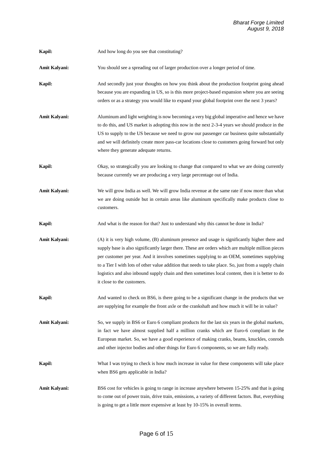| Kapil:        | And how long do you see that constituting?                                                                                                                                                                                                                                                                                                                                                                                                                                                                                                  |
|---------------|---------------------------------------------------------------------------------------------------------------------------------------------------------------------------------------------------------------------------------------------------------------------------------------------------------------------------------------------------------------------------------------------------------------------------------------------------------------------------------------------------------------------------------------------|
| Amit Kalyani: | You should see a spreading out of larger production over a longer period of time.                                                                                                                                                                                                                                                                                                                                                                                                                                                           |
| Kapil:        | And secondly just your thoughts on how you think about the production footprint going ahead<br>because you are expanding in US, so is this more project-based expansion where you are seeing<br>orders or as a strategy you would like to expand your global footprint over the next 3 years?                                                                                                                                                                                                                                               |
| Amit Kalyani: | Aluminum and light weighting is now becoming a very big global imperative and hence we have<br>to do this, and US market is adopting this now in the next 2-3-4 years we should produce in the<br>US to supply to the US because we need to grow our passenger car business quite substantially<br>and we will definitely create more pass-car locations close to customers going forward but only<br>where they generate adequate returns.                                                                                                 |
| Kapil:        | Okay, so strategically you are looking to change that compared to what we are doing currently<br>because currently we are producing a very large percentage out of India.                                                                                                                                                                                                                                                                                                                                                                   |
| Amit Kalyani: | We will grow India as well. We will grow India revenue at the same rate if now more than what<br>we are doing outside but in certain areas like aluminum specifically make products close to<br>customers.                                                                                                                                                                                                                                                                                                                                  |
| Kapil:        | And what is the reason for that? Just to understand why this cannot be done in India?                                                                                                                                                                                                                                                                                                                                                                                                                                                       |
| Amit Kalyani: | (A) it is very high volume, (B) aluminum presence and usage is significantly higher there and<br>supply base is also significantly larger there. These are orders which are multiple million pieces<br>per customer per year. And it involves sometimes supplying to an OEM, sometimes supplying<br>to a Tier I with lots of other value addition that needs to take place. So, just from a supply chain<br>logistics and also inbound supply chain and then sometimes local content, then it is better to do<br>it close to the customers. |
| Kapil:        | And wanted to check on BS6, is there going to be a significant change in the products that we<br>are supplying for example the front axle or the crankshaft and how much it will be in value?                                                                                                                                                                                                                                                                                                                                               |
| Amit Kalyani: | So, we supply in BS6 or Euro 6 compliant products for the last six years in the global markets,<br>in fact we have almost supplied half a million cranks which are Euro-6 compliant in the<br>European market. So, we have a good experience of making cranks, beams, knuckles, conrods<br>and other injector bodies and other things for Euro 6 components, so we are fully ready.                                                                                                                                                         |
| Kapil:        | What I was trying to check is how much increase in value for these components will take place<br>when BS6 gets applicable in India?                                                                                                                                                                                                                                                                                                                                                                                                         |
| Amit Kalyani: | BS6 cost for vehicles is going to range in increase anywhere between 15-25% and that is going<br>to come out of power train, drive train, emissions, a variety of different factors. But, everything<br>is going to get a little more expensive at least by 10-15% in overall terms.                                                                                                                                                                                                                                                        |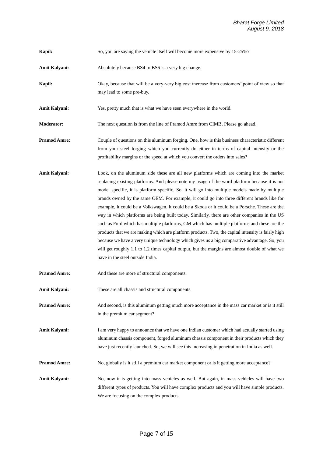**Kapil:** So, you are saying the vehicle itself will become more expensive by 15-25%?

Amit Kalyani: Absolutely because BS4 to BS6 is a very big change.

**Kapil:** Okay, because that will be a very-very big cost increase from customers' point of view so that may lead to some pre-buy.

**Amit Kalyani:** Yes, pretty much that is what we have seen everywhere in the world.

**Moderator:** The next question is from the line of Pramod Amre from CIMB. Please go ahead.

- **Pramod Amre:** Couple of questions on this aluminum forging. One, how is this business characteristic different from your steel forging which you currently do either in terms of capital intensity or the profitability margins or the speed at which you convert the orders into sales?
- **Amit Kalyani:** Look, on the aluminum side these are all new platforms which are coming into the market replacing existing platforms. And please note my usage of the word platform because it is not model specific, it is platform specific. So, it will go into multiple models made by multiple brands owned by the same OEM. For example, it could go into three different brands like for example, it could be a Volkswagen, it could be a Skoda or it could be a Porsche. These are the way in which platforms are being built today. Similarly, there are other companies in the US such as Ford which has multiple platforms, GM which has multiple platforms and these are the products that we are making which are platform products. Two, the capital intensity is fairly high because we have a very unique technology which gives us a big comparative advantage. So, you will get roughly 1.1 to 1.2 times capital output, but the margins are almost double of what we have in the steel outside India.

**Pramod Amre:** And these are more of structural components.

**Amit Kalyani:** These are all chassis and structural components.

**Pramod Amre:** And second, is this aluminum getting much more acceptance in the mass car market or is it still in the premium car segment?

Amit Kalyani: I am very happy to announce that we have one Indian customer which had actually started using aluminum chassis component, forged aluminum chassis component in their products which they have just recently launched. So, we will see this increasing in penetration in India as well.

**Pramod Amre:** No, globally is it still a premium car market component or is it getting more acceptance?

**Amit Kalyani:** No, now it is getting into mass vehicles as well. But again, in mass vehicles will have two different types of products. You will have complex products and you will have simple products. We are focusing on the complex products.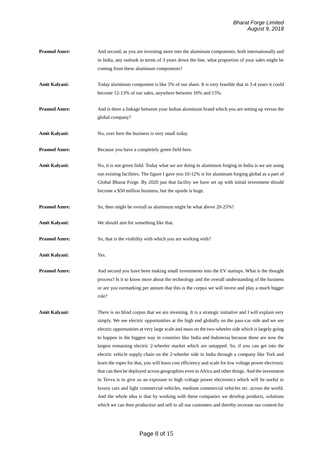- **Pramod Amre:** And second, as you are investing more into the aluminum components, both internationally and in India, any outlook in terms of 3 years down the line, what proportion of your sales might be coming from these aluminum components?
- **Amit Kalyani:** Today aluminum component is like 5% of our share. It is very feasible that in 3-4 years it could become 12-13% of our sales, anywhere between 10% and 15%.
- **Pramod Amre:** And is there a linkage between your Indian aluminum brand which you are setting up versus the global company?
- Amit Kalyani: No, over here the business is very small today.
- **Pramod Amre:** Because you have a completely green field here.
- **Amit Kalyani:** No, it is not green field. Today what we are doing in aluminum forging in India is we are using our existing facilities. The figure I gave you 10-12% is for aluminum forging global as a part of Global Bharat Forge. By 2020 just that facility we have set up with initial investment should become a \$50 million business, but the upside is huge.
- **Pramod Amre:** So, then might be overall as aluminum might be what above 20-25%?
- **Amit Kalyani:** We should aim for something like that.
- **Pramod Amre:** So, that is the visibility with which you are working with?
- **Amit Kalyani:** Yes.
- **Pramod Amre:** And second you have been making small investments into the EV startups. What is the thought process? Is it to know more about the technology and the overall understanding of the business or are you earmarking per annum that this is the corpus we will invest and play a much bigger role?
- **Amit Kalyani:** There is no blind corpus that we are investing. It is a strategic initiative and I will explain very simply. We see electric opportunities at the high end globally on the pass-car side and we see electric opportunities at very large scale and mass on the two-wheeler side which is largely going to happen in the biggest way in countries like India and Indonesia because these are now the largest remaining electric 2-wheeler market which are untapped. So, if you can get into the electric vehicle supply chain on the 2-wheeler side in India through a company like Tork and learn the ropes for that, you will learn cost efficiency and scale for low voltage power electronic that can then be deployed across geographies even in Africa and other things. And the investment in Tevva is to give us an exposure to high voltage power electronics which will be useful in luxury cars and light commercial vehicles, medium commercial vehicles etc. across the world. And the whole idea is that by working with these companies we develop products, solutions which we can then productize and sell to all our customers and thereby increase our content for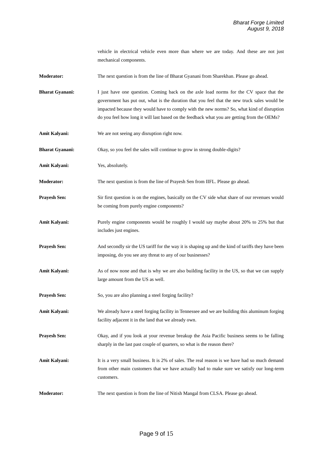vehicle in electrical vehicle even more than where we are today. And these are not just mechanical components.

**Moderator:** The next question is from the line of Bharat Gyanani from Sharekhan. Please go ahead.

**Bharat Gyanani:** I just have one question. Coming back on the axle load norms for the CV space that the government has put out, what is the duration that you feel that the new truck sales would be impacted because they would have to comply with the new norms? So, what kind of disruption do you feel how long it will last based on the feedback what you are getting from the OEMs?

- **Amit Kalyani:** We are not seeing any disruption right now.
- **Bharat Gyanani:** Okay, so you feel the sales will continue to grow in strong double-digits?
- **Amit Kalyani:** Yes, absolutely.
- **Moderator:** The next question is from the line of Prayesh Sen from IIFL. Please go ahead.
- **Prayesh Sen:** Sir first question is on the engines, basically on the CV side what share of our revenues would be coming from purely engine components?
- Amit Kalyani: Purely engine components would be roughly I would say maybe about 20% to 25% but that includes just engines.
- **Prayesh Sen:** And secondly sir the US tariff for the way it is shaping up and the kind of tariffs they have been imposing, do you see any threat to any of our businesses?
- **Amit Kalyani:** As of now none and that is why we are also building facility in the US, so that we can supply large amount from the US as well.
- **Prayesh Sen:** So, you are also planning a steel forging facility?
- **Amit Kalyani:** We already have a steel forging facility in Tennessee and we are building this aluminum forging facility adjacent it in the land that we already own.
- **Prayesh Sen:** Okay, and if you look at your revenue breakup the Asia Pacific business seems to be falling sharply in the last past couple of quarters, so what is the reason there?
- Amit Kalyani: It is a very small business. It is 2% of sales. The real reason is we have had so much demand from other main customers that we have actually had to make sure we satisfy our long-term customers.
- **Moderator:** The next question is from the line of Nitish Mangal from CLSA. Please go ahead.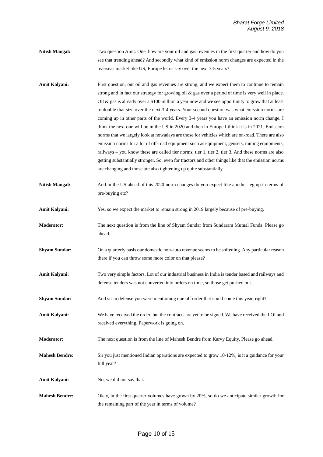- **Nitish Mangal:** Two question Amit. One, how are your oil and gas revenues in the first quarter and how do you see that trending ahead? And secondly what kind of emission norm changes are expected in the overseas market like US, Europe let us say over the next 3-5 years?
- Amit Kalyani: First question, our oil and gas revenues are strong, and we expect them to continue to remain strong and in fact our strategy for growing oil & gas over a period of time is very well in place. Oil  $\&$  gas is already over a \$100 million a year now and we see opportunity to grow that at least to double that size over the next 3-4 years. Your second question was what emission norms are coming up in other parts of the world. Every 3-4 years you have an emission norm change. I think the next one will be in the US in 2020 and then in Europe I think it is in 2021. Emission norms that we largely look at nowadays are those for vehicles which are on-road. There are also emission norms for a lot of off-road equipment such as equipment, gensets, mining equipments, railways – you know these are called tier norms, tier 1, tier 2, tier 3. And these norms are also getting substantially stronger. So, even for tractors and other things like that the emission norms are changing and those are also tightening up quite substantially.
- **Nitish Mangal:** And in the US ahead of this 2020 norm changes do you expect like another leg up in terms of pre-buying etc?
- **Amit Kalyani:** Yes, so we expect the market to remain strong in 2019 largely because of pre-buying.
- **Moderator:** The next question is from the line of Shyam Sundar from Sundaram Mutual Funds. Please go ahead.
- **Shyam Sundar:** On a quarterly basis our domestic non-auto revenue seems to be softening. Any particular reason there if you can throw some more color on that please?
- **Amit Kalyani:** Two very simple factors. Lot of our industrial business in India is tender based and railways and defense tenders was not converted into orders on time, so those get pushed out.
- **Shyam Sundar:** And sir in defense you were mentioning one off order that could come this year, right?
- **Amit Kalyani:** We have received the order, but the contracts are yet to be signed. We have received the LOI and received everything. Paperwork is going on.
- **Moderator:** The next question is from the line of Mahesh Bendre from Karvy Equity. Please go ahead.
- **Mahesh Bendre:** Sir you just mentioned Indian operations are expected to grow 10-12%, is it a guidance for your full year?
- Amit Kalyani: No, we did not say that.
- **Mahesh Bendre:** Okay, in the first quarter volumes have grown by 20%, so do we anticipate similar growth for the remaining part of the year in terms of volume?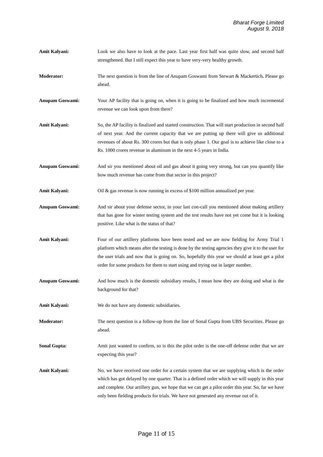- Amit Kalyani: Look we also have to look at the pace. Last year first half was quite slow, and second half strengthened. But I still expect this year to have very-very healthy growth.
- **Moderator:** The next question is from the line of Anupam Goswami from Stewart & Mackertich**.** Please go ahead.
- **Anupam Goswami:** Your AP facility that is going on, when it is going to be finalized and how much incremental revenue we can look upon from there?
- Amit Kalyani: So, the AP facility is finalized and started construction. That will start production in second half of next year. And the current capacity that we are putting up there will give us additional revenues of about Rs. 300 crores but that is only phase 1. Our goal is to achieve like close to a Rs. 1000 crores revenue in aluminum in the next 4-5 years in India.
- **Anupam Goswami:** And sir you mentioned about oil and gas about it going very strong, but can you quantify like how much revenue has come from that sector in this project?
- Amit Kalyani: Oil & gas revenue is now running in excess of \$100 million annualized per year.
- **Anupam Goswami:** And sir about your defense sector, in your last con-call you mentioned about making artillery that has gone for winter testing system and the test results have not yet come but it is looking positive. Like what is the status of that?
- **Amit Kalyani:** Four of our artillery platforms have been tested and we are now fielding for Army Trial 1 platform which means after the testing is done by the testing agencies they give it to the user for the user trials and now that is going on. So, hopefully this year we should at least get a pilot order for some products for them to start using and trying out in larger number.
- **Anupam Goswami:** And how much is the domestic subsidiary results, I mean how they are doing and what is the background for that?
- **Amit Kalyani:** We do not have any domestic subsidiaries.
- **Moderator:** The next question is a follow-up from the line of Sonal Gupta from UBS Securities. Please go ahead.
- **Sonal Gupta:** Amit just wanted to confirm, so is this the pilot order is the one-off defense order that we are expecting this year?
- Amit Kalyani: No, we have received one order for a certain system that we are supplying which is the order which has got delayed by one quarter. That is a defined order which we will supply in this year and complete. Our artillery gun, we hope that we can get a pilot order this year. So, far we have only been fielding products for trials. We have not generated any revenue out of it.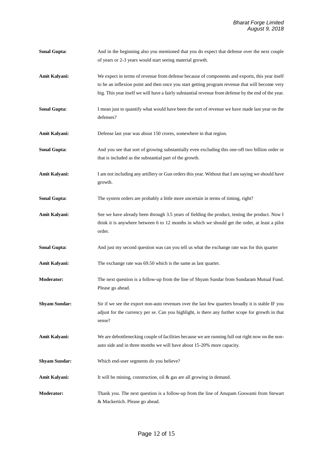**Amit Kalyani:** We expect in terms of revenue from defense because of components and exports, this year itself to be an inflexion point and then once you start getting program revenue that will become very big. This year itself we will have a fairly substantial revenue from defense by the end of the year. **Sonal Gupta:** I mean just to quantify what would have been the sort of revenue we have made last year on the defenses? **Amit Kalyani:** Defense last year was about 150 crores, somewhere in that region. **Sonal Gupta:** And you see that sort of growing substantially even excluding this one-off two billion order or that is included as the substantial part of the growth. **Amit Kalyani:** I am not including any artillery or Gun orders this year. Without that I am saying we should have growth. **Sonal Gupta:** The system orders are probably a little more uncertain in terms of timing, right? Amit Kalyani: See we have already been through 3.5 years of fielding the product, testing the product. Now I think it is anywhere between 6 to 12 months in which we should get the order, at least a pilot order. **Sonal Gupta:** And just my second question was can you tell us what the exchange rate was for this quarter Amit Kalyani: The exchange rate was 69.50 which is the same as last quarter. **Moderator:** The next question is a follow-up from the line of Shyam Sundar from Sundaram Mutual Fund. Please go ahead. **Shyam Sundar:** Sir if we see the export non-auto revenues over the last few quarters broadly it is stable IF you adjust for the currency per se. Can you highlight, is there any further scope for growth in that sense? **Amit Kalyani:** We are debottlenecking couple of facilities because we are running full out right now on the nonauto side and in three months we will have about 15-20% more capacity. **Shyam Sundar:** Which end-user segments do you believe? Amit Kalyani: It will be mining, construction, oil & gas are all growing in demand.

**Sonal Gupta:** And in the beginning also you mentioned that you do expect that defense over the next couple

of years or 2-3 years would start seeing material growth.

**Moderator:** Thank you. The next question is a follow-up from the line of Anupam Goswami from Stewart & Mackertich. Please go ahead.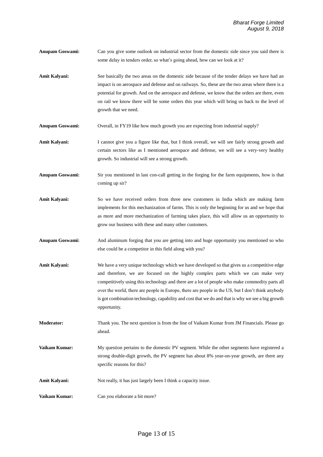- **Anupam Goswami:** Can you give some outlook on industrial sector from the domestic side since you said there is some delay in tenders order, so what's going ahead, how can we look at it?
- Amit Kalyani: See basically the two areas on the domestic side because of the tender delays we have had an impact is on aerospace and defense and on railways. So, these are the two areas where there is a potential for growth. And on the aerospace and defense, we know that the orders are there, even on rail we know there will be some orders this year which will bring us back to the level of growth that we need.

**Anupam Goswami:** Overall, in FY19 like how much growth you are expecting from industrial supply?

- Amit Kalyani: I cannot give you a figure like that, but I think overall, we will see fairly strong growth and certain sectors like as I mentioned aerospace and defense, we will see a very-very healthy growth. So industrial will see a strong growth.
- **Anupam Goswami:** Sir you mentioned in last con-call getting in the forging for the farm equipments, how is that coming up sir?
- **Amit Kalyani:** So we have received orders from three new customers in India which are making farm implements for this mechanization of farms. This is only the beginning for us and we hope that as more and more mechanization of farming takes place, this will allow us an opportunity to grow our business with these and many other customers.
- **Anupam Goswami:** And aluminum forging that you are getting into and huge opportunity you mentioned so who else could be a competitor in this field along with you?
- **Amit Kalyani:** We have a very unique technology which we have developed so that gives us a competitive edge and therefore, we are focused on the highly complex parts which we can make very competitively using this technology and there are a lot of people who make commodity parts all over the world, there are people in Europe, there are people in the US, but I don't think anybody is got combination technology, capability and cost that we do and that is why we see a big growth opportunity.
- **Moderator:** Thank you. The next question is from the line of Vaikam Kumar from JM Financials. Please go ahead.
- **Vaikam Kumar:** My question pertains to the domestic PV segment. While the other segments have registered a strong double-digit growth, the PV segment has about 8% year-on-year growth, are there any specific reasons for this?
- Amit Kalyani: Not really, it has just largely been I think a capacity issue.
- **Vaikam Kumar:** Can you elaborate a bit more?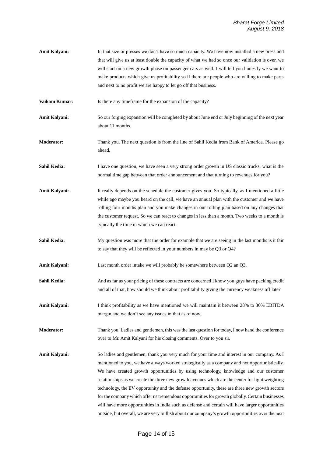Amit Kalyani: In that size or presses we don't have so much capacity. We have now installed a new press and that will give us at least double the capacity of what we had so once our validation is over, we will start on a new growth phase on passenger cars as well. I will tell you honestly we want to make products which give us profitability so if there are people who are willing to make parts and next to no profit we are happy to let go off that business.

**Vaikam Kumar:** Is there any timeframe for the expansion of the capacity?

- **Amit Kalyani:** So our forging expansion will be completed by about June end or July beginning of the next year about 11 months.
- **Moderator:** Thank you. The next question is from the line of Sahil Kedia from Bank of America. Please go ahead.
- **Sahil Kedia:** I have one question, we have seen a very strong order growth in US classic trucks, what is the normal time gap between that order announcement and that turning to revenues for you?
- Amit Kalyani: It really depends on the schedule the customer gives you. So typically, as I mentioned a little while ago maybe you heard on the call, we have an annual plan with the customer and we have rolling four months plan and you make changes in our rolling plan based on any changes that the customer request. So we can react to changes in less than a month. Two weeks to a month is typically the time in which we can react.
- **Sahil Kedia:** My question was more that the order for example that we are seeing in the last months is it fair to say that they will be reflected in your numbers in may be Q3 or Q4?
- **Amit Kalyani:** Last month order intake we will probably be somewhere between O2 an O3.
- Sahil Kedia: And as far as your pricing of these contracts are concerned I know you guys have packing credit and all of that, how should we think about profitability giving the currency weakness off late?
- **Amit Kalyani:** I think profitability as we have mentioned we will maintain it between 28% to 30% EBITDA margin and we don't see any issues in that as of now.
- **Moderator:** Thank you. Ladies and gentlemen, this was the last question for today, I now hand the conference over to Mr. Amit Kalyani for his closing comments. Over to you sir.
- **Amit Kalyani:** So ladies and gentlemen, thank you very much for your time and interest in our company. As I mentioned to you, we have always worked strategically as a company and not opportunistically. We have created growth opportunities by using technology, knowledge and our customer relationships as we create the three new growth avenues which are the center for light weighting technology, the EV opportunity and the defense opportunity, these are three new growth sectors for the company which offer us tremendous opportunities for growth globally. Certain businesses will have more opportunities in India such as defense and certain will have larger opportunities outside, but overall, we are very bullish about our company's growth opportunities over the next